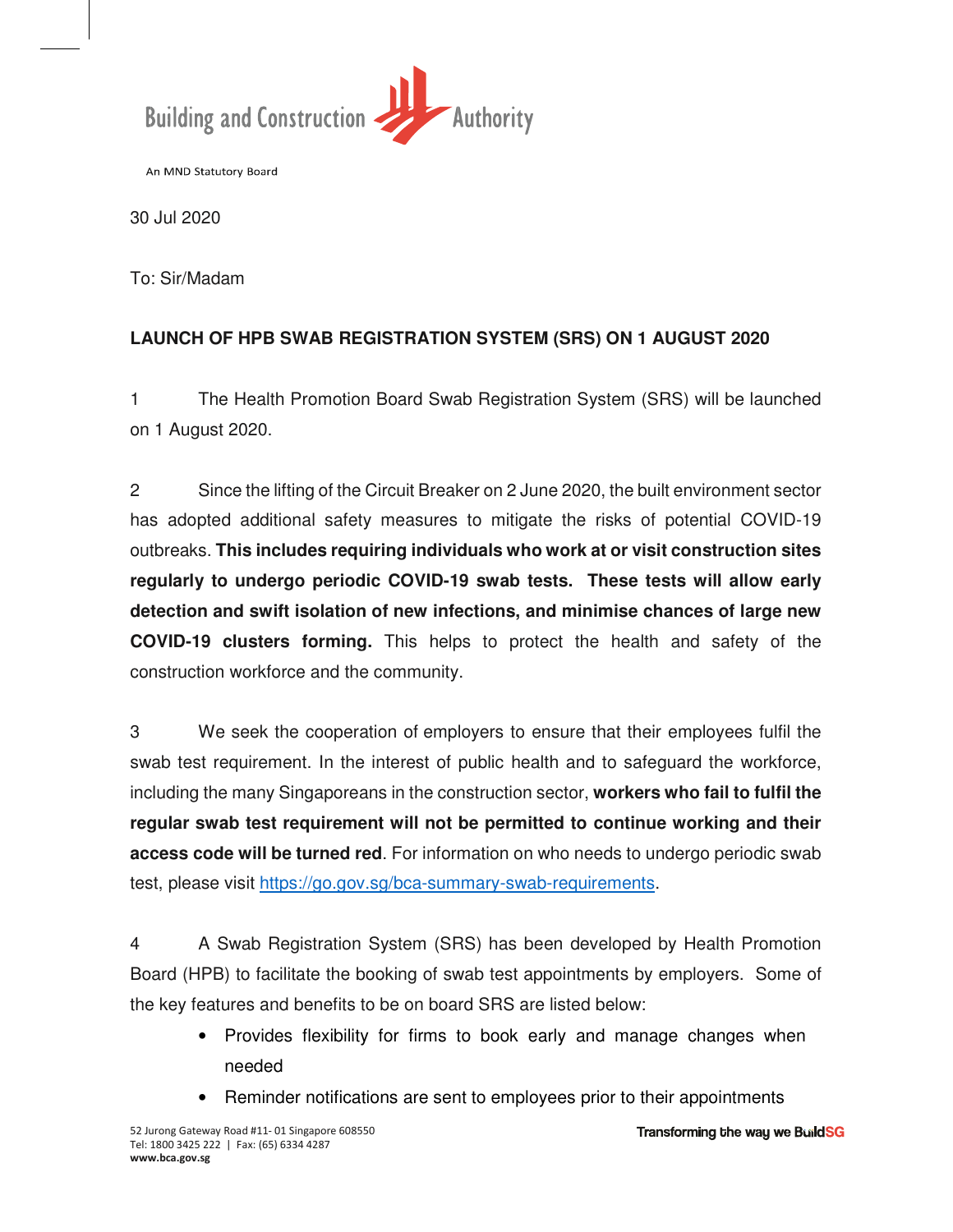

An MND Statutory Board

30 Jul 2020

To: Sir/Madam

## **LAUNCH OF HPB SWAB REGISTRATION SYSTEM (SRS) ON 1 AUGUST 2020**

1 The Health Promotion Board Swab Registration System (SRS) will be launched on 1 August 2020.

2 Since the lifting of the Circuit Breaker on 2 June 2020, the built environment sector has adopted additional safety measures to mitigate the risks of potential COVID-19 outbreaks. **This includes requiring individuals who work at or visit construction sites regularly to undergo periodic COVID-19 swab tests. These tests will allow early detection and swift isolation of new infections, and minimise chances of large new COVID-19 clusters forming.** This helps to protect the health and safety of the construction workforce and the community.

3 We seek the cooperation of employers to ensure that their employees fulfil the swab test requirement. In the interest of public health and to safeguard the workforce, including the many Singaporeans in the construction sector, **workers who fail to fulfil the regular swab test requirement will not be permitted to continue working and their access code will be turned red**. For information on who needs to undergo periodic swab test, please visit https://go.gov.sg/bca-summary-swab-requirements.

4 A Swab Registration System (SRS) has been developed by Health Promotion Board (HPB) to facilitate the booking of swab test appointments by employers. Some of the key features and benefits to be on board SRS are listed below:

- Provides flexibility for firms to book early and manage changes when needed
- Reminder notifications are sent to employees prior to their appointments